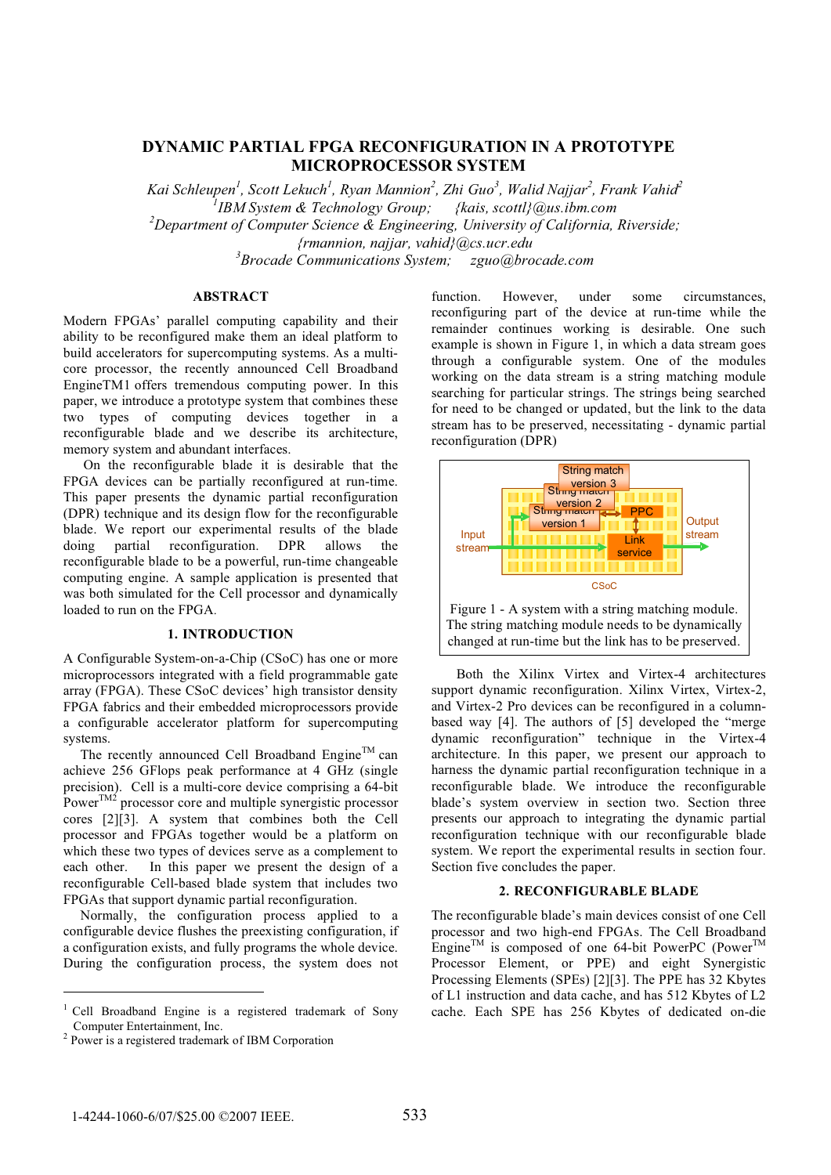# **DYNAMIC PARTIAL FPGA RECONFIGURATION IN A PROTOTYPE MICROPROCESSOR SYSTEM**

*Kai Schleupen<sup>1</sup> , Scott Lekuch<sup>1</sup> , Ryan Mannion<sup>2</sup> , Zhi Guo<sup>3</sup> , Walid Najjar<sup>2</sup> , Frank Vahid<sup>2</sup> 1 IBM System & Technology Group; {kais, scottl}@us.ibm.com 2 Department of Computer Science & Engineering, University of California, Riverside; {rmannion, najjar, vahid}@cs.ucr.edu 3 Brocade Communications System; zguo@brocade.com*

## **ABSTRACT**

Modern FPGAs' parallel computing capability and their ability to be reconfigured make them an ideal platform to build accelerators for supercomputing systems. As a multicore processor, the recently announced Cell Broadband EngineTM1 offers tremendous computing power. In this paper, we introduce a prototype system that combines these two types of computing devices together in a reconfigurable blade and we describe its architecture, memory system and abundant interfaces.

On the reconfigurable blade it is desirable that the FPGA devices can be partially reconfigured at run-time. This paper presents the dynamic partial reconfiguration (DPR) technique and its design flow for the reconfigurable blade. We report our experimental results of the blade doing partial reconfiguration. DPR allows the reconfigurable blade to be a powerful, run-time changeable computing engine. A sample application is presented that was both simulated for the Cell processor and dynamically loaded to run on the FPGA.

### **1. INTRODUCTION**

A Configurable System-on-a-Chip (CSoC) has one or more microprocessors integrated with a field programmable gate array (FPGA). These CSoC devices' high transistor density FPGA fabrics and their embedded microprocessors provide a configurable accelerator platform for supercomputing systems.

The recently announced Cell Broadband Engine<sup>TM</sup> can achieve 256 GFlops peak performance at 4 GHz (single precision). Cell is a multi-core device comprising a 64-bit  $P_{\text{OW}}$ <sup>TM2</sup> processor core and multiple synergistic processor cores [2][3]. A system that combines both the Cell processor and FPGAs together would be a platform on which these two types of devices serve as a complement to each other. In this paper we present the design of a reconfigurable Cell-based blade system that includes two FPGAs that support dynamic partial reconfiguration.

Normally, the configuration process applied to a configurable device flushes the preexisting configuration, if a configuration exists, and fully programs the whole device. During the configuration process, the system does not

function. However, under some circumstances, reconfiguring part of the device at run-time while the remainder continues working is desirable. One such example is shown in Figure 1, in which a data stream goes through a configurable system. One of the modules working on the data stream is a string matching module searching for particular strings. The strings being searched for need to be changed or updated, but the link to the data stream has to be preserved, necessitating - dynamic partial reconfiguration (DPR)



Both the Xilinx Virtex and Virtex-4 architectures support dynamic reconfiguration. Xilinx Virtex, Virtex-2, and Virtex-2 Pro devices can be reconfigured in a columnbased way [4]. The authors of [5] developed the "merge dynamic reconfiguration" technique in the Virtex-4 architecture. In this paper, we present our approach to harness the dynamic partial reconfiguration technique in a reconfigurable blade. We introduce the reconfigurable blade's system overview in section two. Section three presents our approach to integrating the dynamic partial reconfiguration technique with our reconfigurable blade system. We report the experimental results in section four. Section five concludes the paper.

#### **2. RECONFIGURABLE BLADE**

The reconfigurable blade's main devices consist of one Cell processor and two high-end FPGAs. The Cell Broadband Engine<sup>TM</sup> is composed of one 64-bit PowerPC (Power<sup>TM</sup>) Processor Element, or PPE) and eight Synergistic Processing Elements (SPEs) [2][3]. The PPE has 32 Kbytes of L1 instruction and data cache, and has 512 Kbytes of L2 cache. Each SPE has 256 Kbytes of dedicated on-die

<sup>1</sup> Cell Broadband Engine is a registered trademark of Sony Computer Entertainment, Inc. <sup>2</sup> Power is a registered trademark of IBM Corporation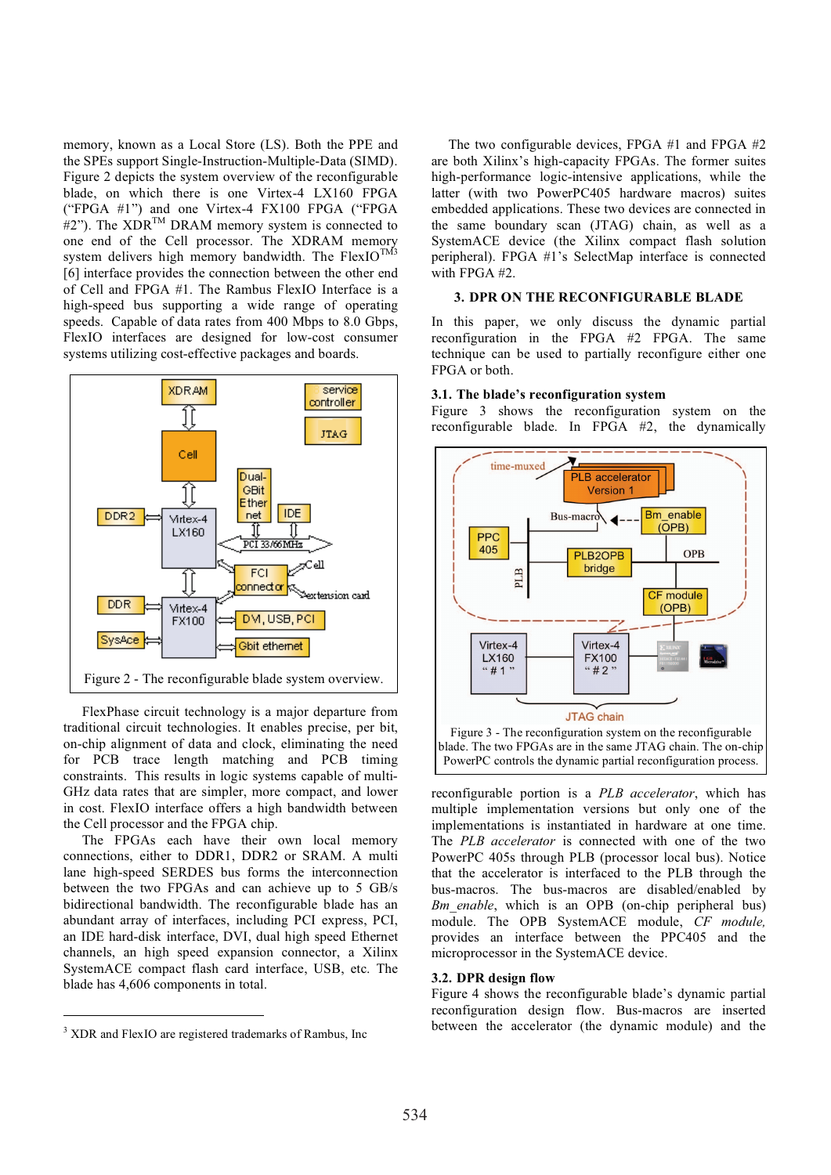memory, known as a Local Store (LS). Both the PPE and the SPEs support Single-Instruction-Multiple-Data (SIMD). Figure 2 depicts the system overview of the reconfigurable blade, on which there is one Virtex-4 LX160 FPGA ("FPGA #1") and one Virtex-4 FX100 FPGA ("FPGA  $#2"$ ). The XDR<sup>TM</sup> DRAM memory system is connected to one end of the Cell processor. The XDRAM memory system delivers high memory bandwidth. The FlexIO<sup>TM3</sup> [6] interface provides the connection between the other end of Cell and FPGA #1. The Rambus FlexIO Interface is a high-speed bus supporting a wide range of operating speeds. Capable of data rates from 400 Mbps to 8.0 Gbps, FlexIO interfaces are designed for low-cost consumer systems utilizing cost-effective packages and boards.



FlexPhase circuit technology is a major departure from traditional circuit technologies. It enables precise, per bit, on-chip alignment of data and clock, eliminating the need for PCB trace length matching and PCB timing constraints. This results in logic systems capable of multi-GHz data rates that are simpler, more compact, and lower in cost. FlexIO interface offers a high bandwidth between the Cell processor and the FPGA chip.

The FPGAs each have their own local memory connections, either to DDR1, DDR2 or SRAM. A multi lane high-speed SERDES bus forms the interconnection between the two FPGAs and can achieve up to 5 GB/s bidirectional bandwidth. The reconfigurable blade has an abundant array of interfaces, including PCI express, PCI, an IDE hard-disk interface, DVI, dual high speed Ethernet channels, an high speed expansion connector, a Xilinx SystemACE compact flash card interface, USB, etc. The blade has 4,606 components in total.

The two configurable devices, FPGA #1 and FPGA #2 are both Xilinx's high-capacity FPGAs. The former suites high-performance logic-intensive applications, while the latter (with two PowerPC405 hardware macros) suites embedded applications. These two devices are connected in the same boundary scan (JTAG) chain, as well as a SystemACE device (the Xilinx compact flash solution peripheral). FPGA #1's SelectMap interface is connected with FPGA #2.

### **3. DPR ON THE RECONFIGURABLE BLADE**

In this paper, we only discuss the dynamic partial reconfiguration in the FPGA #2 FPGA. The same technique can be used to partially reconfigure either one FPGA or both.

#### **3.1. The blade's reconfiguration system**

Figure 3 shows the reconfiguration system on the reconfigurable blade. In FPGA #2, the dynamically



reconfigurable portion is a *PLB accelerator*, which has multiple implementation versions but only one of the implementations is instantiated in hardware at one time. The *PLB accelerator* is connected with one of the two PowerPC 405s through PLB (processor local bus). Notice that the accelerator is interfaced to the PLB through the bus-macros. The bus-macros are disabled/enabled by *Bm* enable, which is an OPB (on-chip peripheral bus) module. The OPB SystemACE module, *CF module,* provides an interface between the PPC405 and the microprocessor in the SystemACE device.

#### **3.2. DPR design flow**

Figure 4 shows the reconfigurable blade's dynamic partial reconfiguration design flow. Bus-macros are inserted between the accelerator (the dynamic module) and the

<sup>&</sup>lt;sup>3</sup> XDR and FlexIO are registered trademarks of Rambus, Inc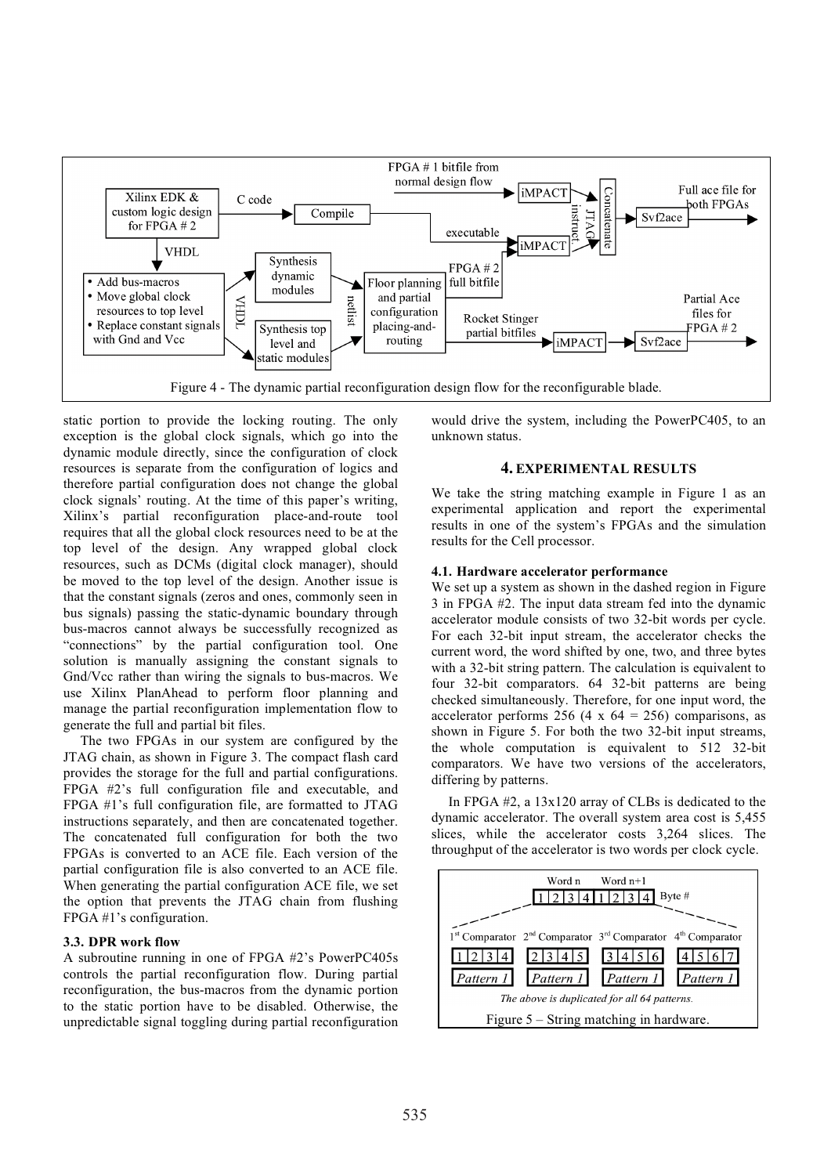

static portion to provide the locking routing. The only exception is the global clock signals, which go into the dynamic module directly, since the configuration of clock resources is separate from the configuration of logics and therefore partial configuration does not change the global clock signals' routing. At the time of this paper's writing, Xilinx's partial reconfiguration place-and-route tool requires that all the global clock resources need to be at the top level of the design. Any wrapped global clock resources, such as DCMs (digital clock manager), should be moved to the top level of the design. Another issue is that the constant signals (zeros and ones, commonly seen in bus signals) passing the static-dynamic boundary through bus-macros cannot always be successfully recognized as "connections" by the partial configuration tool. One solution is manually assigning the constant signals to Gnd/Vcc rather than wiring the signals to bus-macros. We use Xilinx PlanAhead to perform floor planning and manage the partial reconfiguration implementation flow to generate the full and partial bit files.

The two FPGAs in our system are configured by the JTAG chain, as shown in Figure 3. The compact flash card provides the storage for the full and partial configurations. FPGA #2's full configuration file and executable, and FPGA #1's full configuration file, are formatted to JTAG instructions separately, and then are concatenated together. The concatenated full configuration for both the two FPGAs is converted to an ACE file. Each version of the partial configuration file is also converted to an ACE file. When generating the partial configuration ACE file, we set the option that prevents the JTAG chain from flushing FPGA #1's configuration.

# **3.3. DPR work flow**

A subroutine running in one of FPGA #2's PowerPC405s controls the partial reconfiguration flow. During partial reconfiguration, the bus-macros from the dynamic portion to the static portion have to be disabled. Otherwise, the unpredictable signal toggling during partial reconfiguration

would drive the system, including the PowerPC405, to an unknown status.

### **4. EXPERIMENTAL RESULTS**

We take the string matching example in Figure 1 as an experimental application and report the experimental results in one of the system's FPGAs and the simulation results for the Cell processor.

#### **4.1. Hardware accelerator performance**

We set up a system as shown in the dashed region in Figure 3 in FPGA #2. The input data stream fed into the dynamic accelerator module consists of two 32-bit words per cycle. For each 32-bit input stream, the accelerator checks the current word, the word shifted by one, two, and three bytes with a 32-bit string pattern. The calculation is equivalent to four 32-bit comparators. 64 32-bit patterns are being checked simultaneously. Therefore, for one input word, the accelerator performs 256 (4 x  $64 = 256$ ) comparisons, as shown in Figure 5. For both the two 32-bit input streams, the whole computation is equivalent to 512 32-bit comparators. We have two versions of the accelerators, differing by patterns.

In FPGA #2, a 13x120 array of CLBs is dedicated to the dynamic accelerator. The overall system area cost is 5,455 slices, while the accelerator costs 3,264 slices. The throughput of the accelerator is two words per clock cycle.